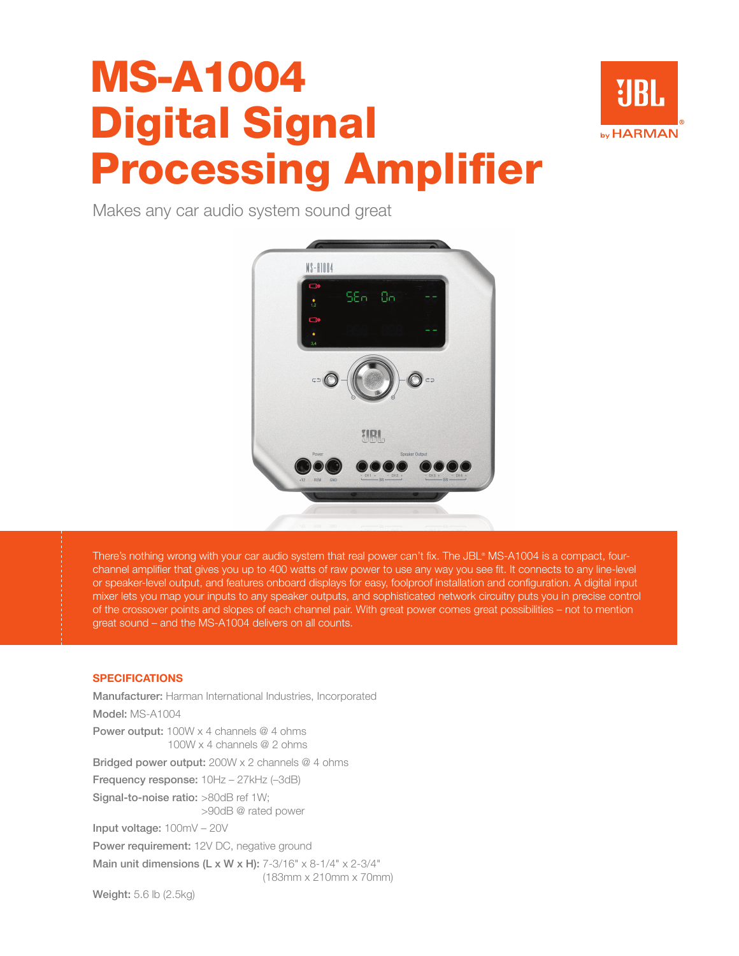## MS-A1004 Digital Signal Processing Amplifier



Makes any car audio system sound great



There's nothing wrong with your car audio system that real power can't fix. The JBL®MS-A1004 is a compact, fourchannel amplifier that gives you up to 400 watts of raw power to use any way you see fit. It connects to any line-level or speaker-level output, and features onboard displays for easy, foolproof installation and configuration. A digital input mixer lets you map your inputs to any speaker outputs, and sophisticated network circuitry puts you in precise control of the crossover points and slopes of each channel pair. With great power comes great possibilities – not to mention great sound – and the MS-A1004 delivers on all counts.

### **SPECIFICATIONS**

Manufacturer: Harman International Industries, Incorporated Model: MS-A1004 Power output: 100W x 4 channels @ 4 ohms 100W x 4 channels @ 2 ohms Bridged power output: 200W x 2 channels @ 4 ohms Frequency response:  $10Hz - 27kHz$  (-3dB) Signal-to-noise ratio: >80dB ref 1W; >90dB @ rated power Input voltage: 100mV – 20V Power requirement: 12V DC, negative ground Main unit dimensions (L x W x H):  $7-3/16" \times 8-1/4" \times 2-3/4"$ (183mm x 210mm x 70mm)

Weight: 5.6 lb (2.5kg)